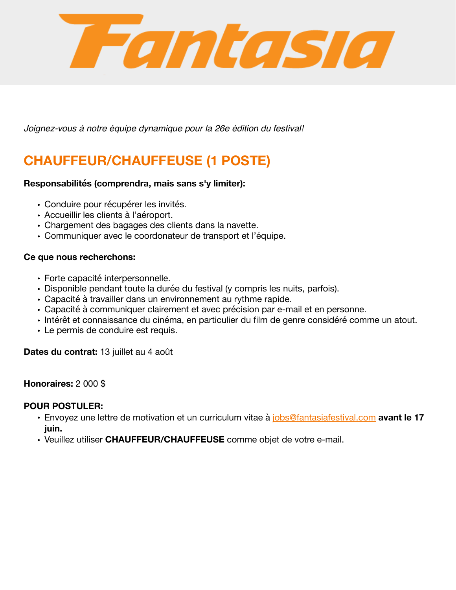

*Joignez-vous à notre équipe dynamique pour la 26e édition du festival!*

# **CHAUFFEUR/CHAUFFEUSE (1 POSTE)**

## **Responsabilités (comprendra, mais sans s'y limiter):**

- Conduire pour récupérer les invités.
- Accueillir les clients à l'aéroport.
- Chargement des bagages des clients dans la navette.
- Communiquer avec le coordonateur de transport et l'équipe.

## **Ce que nous recherchons:**

- Forte capacité interpersonnelle.
- Disponible pendant toute la durée du festival (y compris les nuits, parfois).
- Capacité à travailler dans un environnement au rythme rapide.
- Capacité à communiquer clairement et avec précision par e-mail et en personne.
- Intérêt et connaissance du cinéma, en particulier du film de genre considéré comme un atout.
- Le permis de conduire est requis.

**Dates du contrat:** 13 juillet au 4 août

### **Honoraires:** 2 000 \$

### **POUR POSTULER:**

- Envoyez une lettre de motivation et un curriculum vitae à [jobs@fantasiafestival.com](mailto:jobs@fantasiafestival.com) **avant le 17 juin.**
- Veuillez utiliser **CHAUFFEUR/CHAUFFEUSE** comme objet de votre e-mail.